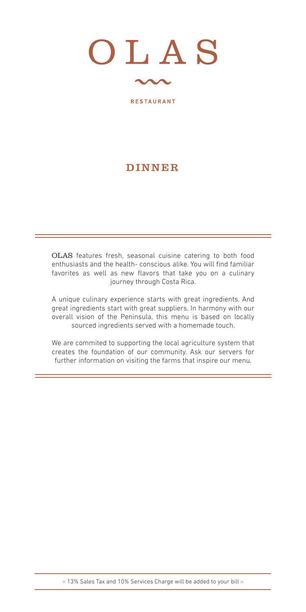

### DINNER

OLAS features fresh, seasonal cuisine catering to both food enthusiasts and the health- conscious alike. You will find familiar favorites as well as new flavors that take you on a culinary journey through Costa Rica.

A unique culinary experience starts with great ingredients. And great ingredients start with great suppliers. In harmony with our overall vision of the Peninsula, this menu is based on locally sourced ingredients served with a homemade touch.

We are commited to supporting the local agriculture system that creates the foundation of our community. Ask our servers for further information on visiting the farms that inspire our menu.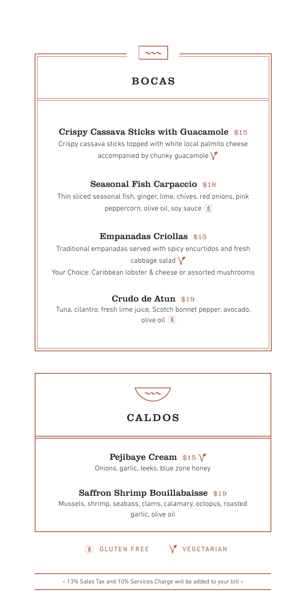



# CALDOS

### Pejibaye Cream  $$15$   $\sqrt{\ }$

Onions, garlic, leeks, blue zone honey

### Saffron Shrimp Bouillabaisse \$19

Mussels, shrimp, seabass, clams, calamary, octopus, roasted garlic, olive oil

**(a)** GLUTEN FREE V VEGETARIAN

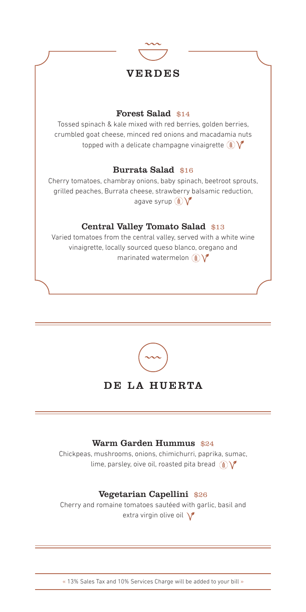

### VERDES

#### Forest Salad \$14

Tossed spinach & kale mixed with red berries, golden berries, crumbled goat cheese, minced red onions and macadamia nuts topped with a delicate champagne vinaigrette  $\mathcal{L}$ 

### Burrata Salad \$16

Cherry tomatoes, chambray onions, baby spinach, beetroot sprouts, grilled peaches, Burrata cheese, strawberry balsamic reduction, agave syrup  $\mathbf{C}$ 

### Central Valley Tomato Salad \$13

Varied tomatoes from the central valley, served with a white wine vinaigrette, locally sourced queso blanco, oregano and marinated watermelon  $\mathbf{C}$ 



# DE LA HUERTA

#### Warm Garden Hummus \$24

Chickpeas, mushrooms, onions, chimichurri, paprika, sumac, lime, parsley, oive oil, roasted pita bread  $\binom{3}{2}$ 

### Vegetarian Capellini \$26

Cherry and romaine tomatoes sautéed with garlic, basil and extra virgin olive oil  $\sqrt{\phantom{a}}$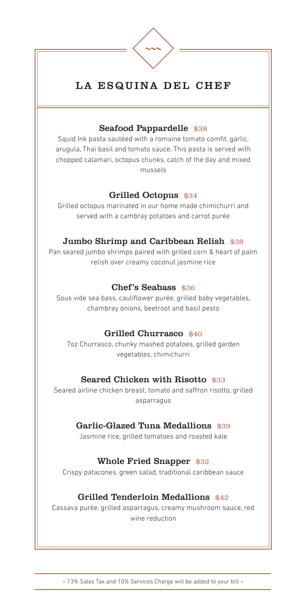

# LA ESQUINA DEL CHEF

#### Seafood Pappardelle \$38

Squid Ink pasta sautéed with a romaine tomato comfit, garlic, arugula, Thai basil and tomato sauce. This pasta is served with chopped calamari, octopus chunks, catch of the day and mixed mussels

#### Grilled Octopus \$34

Grilled octopus marinated in our home made chimichurri and served with a cambray potatoes and carrot purée

### Jumbo Shrimp and Caribbean Relish \$38

Pan seared jumbo shrimps paired with grilled corn & heart of palm relish over creamy coconut jasmine rice

### Chef's Seabass \$36

Sous vide sea bass, cauliflower purée, grilled baby vegetables, chambray onions, beetroot and basil pesto

### Grilled Churrasco \$40

7oz Churrasco, chunky mashed potatoes, grilled garden vegetables, chimichurri

### Seared Chicken with Risotto \$33

Seared airline chicken breast, tomato and saffron risotto, grilled asparragus

### Garlic-Glazed Tuna Medallions \$39

Jasmine rice, grilled tomatoes and roasted kale

# Whole Fried Snapper \$32

Crispy patacones, green salad, traditional caribbean sauce

# Grilled Tenderloin Medallions \$42

Cassava purée, grilled asparragus, creamy mushroom sauce, red wine reduction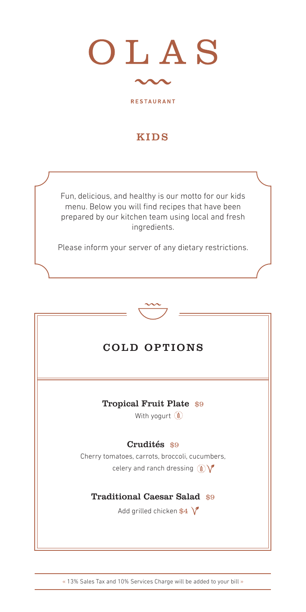

# KIDS

Fun, delicious, and healthy is our motto for our kids menu. Below you will find recipes that have been prepared by our kitchen team using local and fresh ingredients.

Please inform your server of any dietary restrictions.



# COLD OPTIONS

Tropical Fruit Plate \$9

With yogurt (

# Crudités \$9

Cherry tomatoes, carrots, broccoli, cucumbers, celery and ranch dressing  $\mathcal{L}$ 

# Traditional Caesar Salad \$9

Add grilled chicken  $$4 \ V$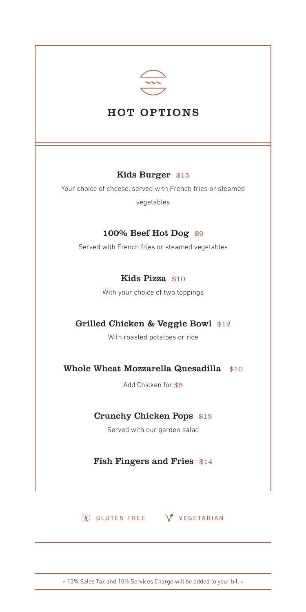

# HOT OPTIONS

### Kids Burger \$15

Your choice of cheese, served with French fries or steamed vegetables

### 100% Beef Hot Dog \$9

Served with French fries or steamed vegetables

### Kids Pizza \$10

With your choice of two toppings

# Grilled Chicken & Veggie Bowl \$12

With roasted potatoes or rice

Whole Wheat Mozzarella Quesadilla \$10

Add Chicken for \$5

#### Crunchy Chicken Pops \$12

Served with our garden salad

Fish Fingers and Fries \$14

**(8) GLUTEN FREE V** VEGETARIAN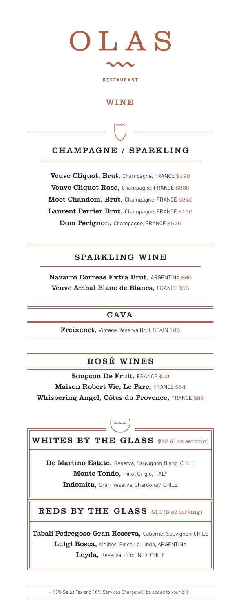

# **WINE**

# CHAMPAGNE / SPARKLING

Veuve Cliquot, Brut, Champagne, FRANCE \$190 Veuve Cliquot Rose, Champagne, FRANCE \$230 Moet Chandom, Brut, Champagne, FRANCE \$240 Laurent Perrier Brut, Champagne, FRANCE \$190 Dom Perignon, Champagne, FRANCE \$520

# SPARKLING WINE

Navarro Correas Extra Brut, ARGENTINA \$60 Veuve Ambal Blanc de Blancs, FRANCE \$55

# **CAVA**

Freixenet, Vintage Reserva Brut, SPAIN \$60

# ROSÉ WINES

Soupcon De Fruit, FRANCE \$50 Maison Robert Vic, Le Parc, FRANCE \$54 Whispering Angel, Côtes du Provence, FRANCE \$88



De Martino Estate, Reserva, Sauvignon Blanc, CHILE Monte Tondo, Pinot Grigio, ITALY Indomita, Gran Reserva, Chardonay, CHILE

# REDS BY THE GLASS \$12 (6 oz serving)

Tabalí Pedregoso Gran Reserva, Cabernet Sauvignon, CHILE Luigi Bosca, Malbec, Finca La Linda, ARGENTINA Leyda, Reserva, Pinot Noir, CHILE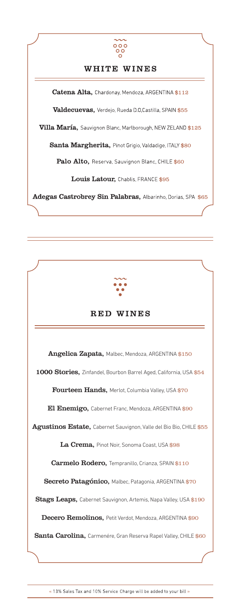

# WHITE WINES

Catena Alta, Chardonay, Mendoza, ARGENTINA \$112 Valdecuevas, Verdejo, Rueda D.O, Castilla, SPAIN \$55 Villa María, Sauvignon Blanc, Marlborough, NEW ZELAND \$125 Santa Margherita, Pinot Grigio, Valdadige, ITALY \$80 Palo Alto, Reserva, Sauvignon Blanc, CHILE \$60 Louis Latour, Chablis, FRANCE \$95 Adegas Castrobrey Sin Palabras, Albarinho, Dorias, SPA \$65



# RED WINES

Angelica Zapata, Malbec, Mendoza, ARGENTINA \$150 1000 Stories, Zinfandel, Bourbon Barrel Aged, California, USA \$54 Fourteen Hands, Merlot, Columbia Valley, USA \$70

El Enemigo, Cabernet Franc, Mendoza, ARGENTINA \$90

Agustinos Estate, Cabernet Sauvignon, Valle del Bio Bio, CHILE \$55

La Crema, Pinot Noir, Sonoma Coast, USA \$98

Carmelo Rodero, Tempranillo, Crianza, SPAIN \$110

Secreto Patagónico, Malbec, Patagonia, ARGENTINA \$70

Stags Leaps, Cabernet Sauvignon, Artemis, Napa Valley, USA \$190

Decero Remolinos, Petit Verdot, Mendoza, ARGENTINA \$90

Santa Carolina, Carmenére, Gran Reserva Rapel Valley, CHILE \$60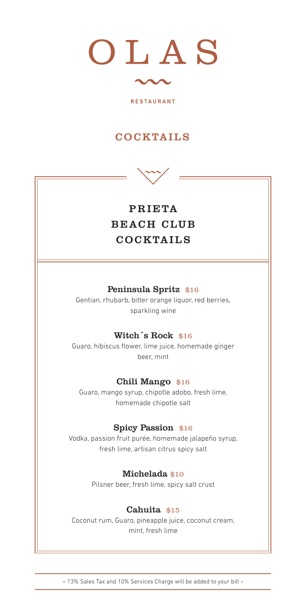

# COCKTAILS



# PRIETA BEACH CLUB COCKTAILS

#### Peninsula Spritz \$16

Gentian, rhubarb, bitter orange liquor, red berries, sparkling wine

#### Witch<sup>s</sup> Rock \$16

Guaro, hibiscus flower, lime juice, homemade ginger beer, mint

#### Chili Mango \$16

Guaro, mango syrup, chipotle adobo, fresh lime, homemade chipotle salt

#### Spicy Passion \$16

Vodka, passion fruit purée, homemade jalapeño syrup, fresh lime, artisan citrus spicy salt

#### Michelada \$10

Pilsner beer, fresh lime, spicy salt crust

#### Cahuita \$15

Coconut rum, Guaro, pineapple juice, coconut cream, mint, fresh lime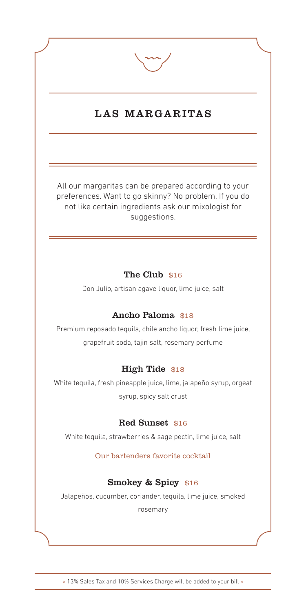

# LAS MARGARITAS

All our margaritas can be prepared according to your preferences. Want to go skinny? No problem. If you do not like certain ingredients ask our mixologist for suggestions.

### The Club \$16

Don Julio, artisan agave liquor, lime juice, salt

### Ancho Paloma \$18

Premium reposado tequila, chile ancho liquor, fresh lime juice, grapefruit soda, tajin salt, rosemary perfume

### High Tide \$18

White tequila, fresh pineapple juice, lime, jalapeño syrup, orgeat syrup, spicy salt crust

#### Red Sunset \$16

White tequila, strawberries & sage pectin, lime juice, salt

Our bartenders favorite cocktail

# Smokey & Spicy \$16

Jalapeños, cucumber, coriander, tequila, lime juice, smoked

rosemary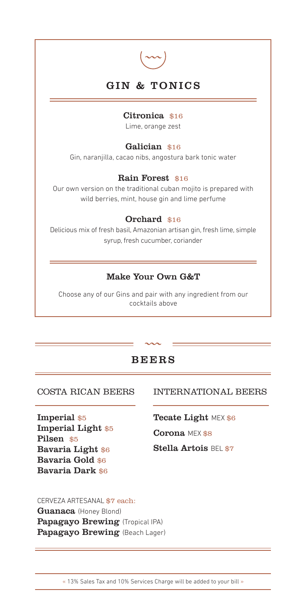

# GIN & TONICS

#### Citronica \$16

Lime, orange zest

#### Galician \$16

Gin, naranjilla, cacao nibs, angostura bark tonic water

#### Rain Forest \$16

Our own version on the traditional cuban mojito is prepared with wild berries, mint, house gin and lime perfume

#### Orchard \$16

Delicious mix of fresh basil, Amazonian artisan gin, fresh lime, simple syrup, fresh cucumber, coriander

### Make Your Own G&T

Choose any of our Gins and pair with any ingredient from our cocktails above

# BEERS

#### COSTA RICAN BEERS

Imperial \$5 Imperial Light \$5 Pilsen \$5 Bavaria Light \$6 Bavaria Gold \$6 Bavaria Dark \$6

### INTERNATIONAL BEERS

Tecate Light MEX \$6

Corona MEX \$8

Stella Artois BEL \$7

#### CERVEZA ARTESANAL \$7 each:

Guanaca (Honey Blond) Papagayo Brewing (Tropical IPA) Papagayo Brewing (Beach Lager)